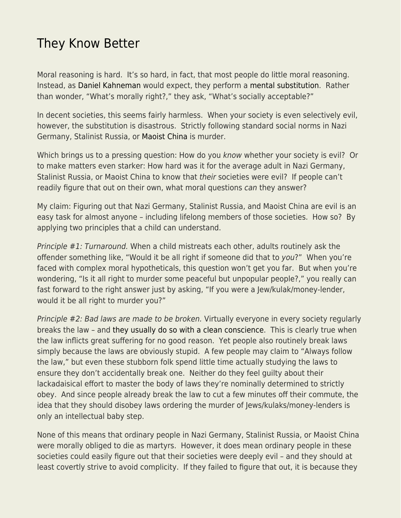## [They Know Better](https://everything-voluntary.com/they-know-better)

Moral reasoning is hard. It's so hard, in fact, that most people do little moral reasoning. Instead, as [Daniel Kahneman](https://www.econlib.org/library/Enc/bios/Kahneman.html) would expect, they perform a [mental substitution](https://www.econlib.org/archives/2012/01/eureka_economic.html). Rather than wonder, "What's morally right?," they ask, "What's socially acceptable?"

In decent societies, this seems fairly harmless. When your society is even selectively evil, however, the substitution is disastrous. Strictly following standard social norms in Nazi Germany, Stalinist Russia, or [Maoist China](https://www.econlib.org/mao-is-murder/) is murder.

Which brings us to a pressing question: How do you know whether your society is evil? Or to make matters even starker: How hard was it for the average adult in Nazi Germany, Stalinist Russia, or Maoist China to know that their societies were evil? If people can't readily figure that out on their own, what moral questions can they answer?

My claim: Figuring out that Nazi Germany, Stalinist Russia, and Maoist China are evil is an easy task for almost anyone – including lifelong members of those societies. How so? By applying two principles that a child can understand.

Principle #1: Turnaround. When a child mistreats each other, adults routinely ask the offender something like, "Would it be all right if someone did that to you?" When you're faced with complex moral hypotheticals, this question won't get you far. But when you're wondering, "Is it all right to murder some peaceful but unpopular people?," you really can fast forward to the right answer just by asking, "If you were a Jew/kulak/money-lender, would it be all right to murder you?"

Principle #2: Bad laws are made to be broken. Virtually everyone in every society regularly breaks the law – and [they usually do so with a clean conscience.](https://www.econlib.org/archives/2014/04/the_righteous_s.html) This is clearly true when the law inflicts great suffering for no good reason. Yet people also routinely break laws simply because the laws are obviously stupid. A few people may claim to "Always follow the law," but even these stubborn folk spend little time actually studying the laws to ensure they don't accidentally break one. Neither do they feel guilty about their lackadaisical effort to master the body of laws they're nominally determined to strictly obey. And since people already break the law to cut a few minutes off their commute, the idea that they should disobey laws ordering the murder of Jews/kulaks/money-lenders is only an intellectual baby step.

None of this means that ordinary people in Nazi Germany, Stalinist Russia, or Maoist China were morally obliged to die as martyrs. However, it does mean ordinary people in these societies could easily figure out that their societies were deeply evil – and they should at least covertly strive to avoid complicity. If they failed to figure that out, it is because they